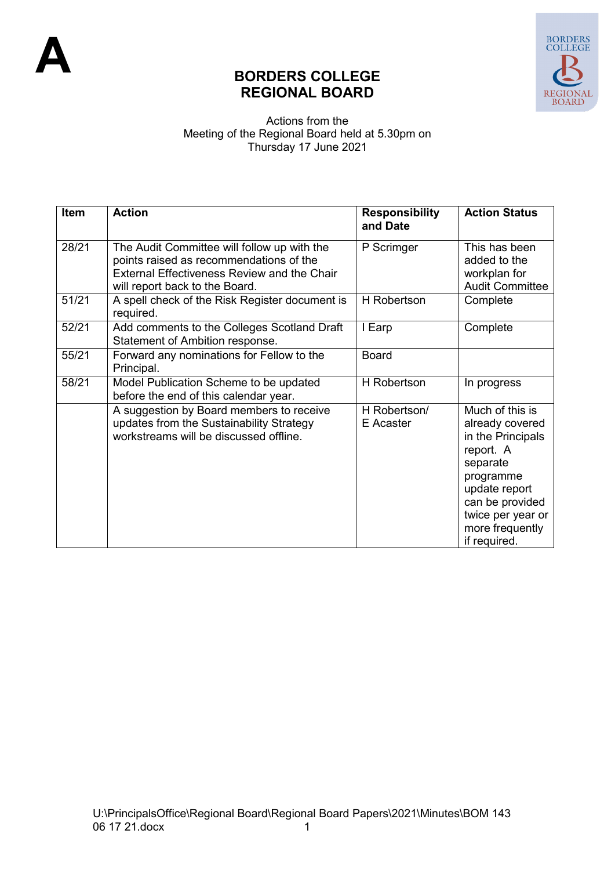

## **BORDERS COLLEGE REGIONAL BOARD**

## Actions from the Meeting of the Regional Board held at 5.30pm on Thursday 17 June 2021

| Item  | <b>Action</b>                                                                                                                                                                  | <b>Responsibility</b><br>and Date | <b>Action Status</b>                                                                                                                                                                      |
|-------|--------------------------------------------------------------------------------------------------------------------------------------------------------------------------------|-----------------------------------|-------------------------------------------------------------------------------------------------------------------------------------------------------------------------------------------|
| 28/21 | The Audit Committee will follow up with the<br>points raised as recommendations of the<br><b>External Effectiveness Review and the Chair</b><br>will report back to the Board. | P Scrimger                        | This has been<br>added to the<br>workplan for<br><b>Audit Committee</b>                                                                                                                   |
| 51/21 | A spell check of the Risk Register document is<br>required.                                                                                                                    | <b>H</b> Robertson                | Complete                                                                                                                                                                                  |
| 52/21 | Add comments to the Colleges Scotland Draft<br>Statement of Ambition response.                                                                                                 | I Earp                            | Complete                                                                                                                                                                                  |
| 55/21 | Forward any nominations for Fellow to the<br>Principal.                                                                                                                        | <b>Board</b>                      |                                                                                                                                                                                           |
| 58/21 | Model Publication Scheme to be updated<br>before the end of this calendar year.                                                                                                | <b>H</b> Robertson                | In progress                                                                                                                                                                               |
|       | A suggestion by Board members to receive<br>updates from the Sustainability Strategy<br>workstreams will be discussed offline.                                                 | H Robertson/<br>E Acaster         | Much of this is<br>already covered<br>in the Principals<br>report. A<br>separate<br>programme<br>update report<br>can be provided<br>twice per year or<br>more frequently<br>if required. |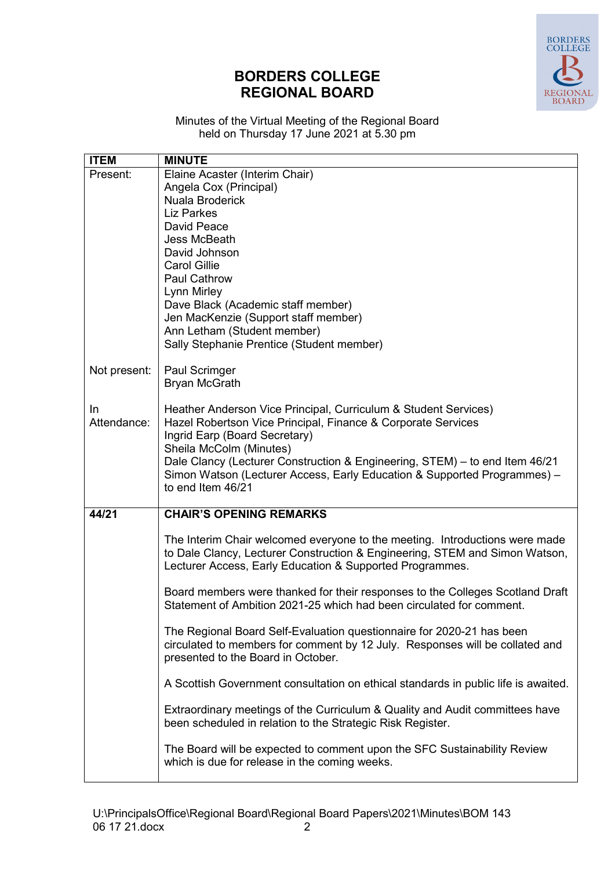## **BORDERS COLLEGE REGIONAL BOARD**



Minutes of the Virtual Meeting of the Regional Board held on Thursday 17 June 2021 at 5.30 pm

| <b>ITEM</b>        | <b>MINUTE</b>                                                                                                                                                                                                                                                                                                                                                               |
|--------------------|-----------------------------------------------------------------------------------------------------------------------------------------------------------------------------------------------------------------------------------------------------------------------------------------------------------------------------------------------------------------------------|
| Present:           | Elaine Acaster (Interim Chair)<br>Angela Cox (Principal)<br>Nuala Broderick<br><b>Liz Parkes</b><br>David Peace<br>Jess McBeath<br>David Johnson<br><b>Carol Gillie</b><br><b>Paul Cathrow</b><br>Lynn Mirley<br>Dave Black (Academic staff member)<br>Jen MacKenzie (Support staff member)<br>Ann Letham (Student member)<br>Sally Stephanie Prentice (Student member)     |
| Not present:       | Paul Scrimger<br><b>Bryan McGrath</b>                                                                                                                                                                                                                                                                                                                                       |
| In.<br>Attendance: | Heather Anderson Vice Principal, Curriculum & Student Services)<br>Hazel Robertson Vice Principal, Finance & Corporate Services<br>Ingrid Earp (Board Secretary)<br>Sheila McColm (Minutes)<br>Dale Clancy (Lecturer Construction & Engineering, STEM) - to end Item 46/21<br>Simon Watson (Lecturer Access, Early Education & Supported Programmes) -<br>to end Item 46/21 |
| 44/21              | <b>CHAIR'S OPENING REMARKS</b>                                                                                                                                                                                                                                                                                                                                              |
|                    | The Interim Chair welcomed everyone to the meeting. Introductions were made<br>to Dale Clancy, Lecturer Construction & Engineering, STEM and Simon Watson,<br>Lecturer Access, Early Education & Supported Programmes.                                                                                                                                                      |
|                    | Board members were thanked for their responses to the Colleges Scotland Draft<br>Statement of Ambition 2021-25 which had been circulated for comment.                                                                                                                                                                                                                       |
|                    | The Regional Board Self-Evaluation questionnaire for 2020-21 has been<br>circulated to members for comment by 12 July. Responses will be collated and<br>presented to the Board in October.                                                                                                                                                                                 |
|                    | A Scottish Government consultation on ethical standards in public life is awaited.                                                                                                                                                                                                                                                                                          |
|                    | Extraordinary meetings of the Curriculum & Quality and Audit committees have<br>been scheduled in relation to the Strategic Risk Register.                                                                                                                                                                                                                                  |
|                    | The Board will be expected to comment upon the SFC Sustainability Review<br>which is due for release in the coming weeks.                                                                                                                                                                                                                                                   |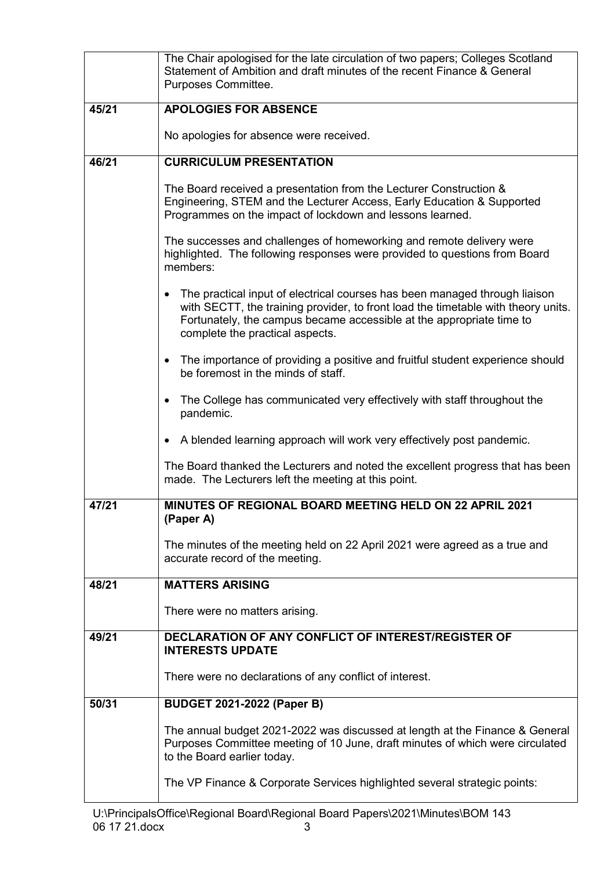|       | The Chair apologised for the late circulation of two papers; Colleges Scotland<br>Statement of Ambition and draft minutes of the recent Finance & General<br>Purposes Committee.                                                                                                        |  |
|-------|-----------------------------------------------------------------------------------------------------------------------------------------------------------------------------------------------------------------------------------------------------------------------------------------|--|
| 45/21 | <b>APOLOGIES FOR ABSENCE</b>                                                                                                                                                                                                                                                            |  |
|       | No apologies for absence were received.                                                                                                                                                                                                                                                 |  |
| 46/21 | <b>CURRICULUM PRESENTATION</b>                                                                                                                                                                                                                                                          |  |
|       | The Board received a presentation from the Lecturer Construction &<br>Engineering, STEM and the Lecturer Access, Early Education & Supported<br>Programmes on the impact of lockdown and lessons learned.                                                                               |  |
|       | The successes and challenges of homeworking and remote delivery were<br>highlighted. The following responses were provided to questions from Board<br>members:                                                                                                                          |  |
|       | The practical input of electrical courses has been managed through liaison<br>$\bullet$<br>with SECTT, the training provider, to front load the timetable with theory units.<br>Fortunately, the campus became accessible at the appropriate time to<br>complete the practical aspects. |  |
|       | The importance of providing a positive and fruitful student experience should<br>$\bullet$<br>be foremost in the minds of staff.                                                                                                                                                        |  |
|       | The College has communicated very effectively with staff throughout the<br>$\bullet$<br>pandemic.                                                                                                                                                                                       |  |
|       | A blended learning approach will work very effectively post pandemic.<br>$\bullet$                                                                                                                                                                                                      |  |
|       | The Board thanked the Lecturers and noted the excellent progress that has been<br>made. The Lecturers left the meeting at this point.                                                                                                                                                   |  |
| 47/21 | MINUTES OF REGIONAL BOARD MEETING HELD ON 22 APRIL 2021<br>(Paper A)                                                                                                                                                                                                                    |  |
|       | The minutes of the meeting held on 22 April 2021 were agreed as a true and<br>accurate record of the meeting.                                                                                                                                                                           |  |
| 48/21 | <b>MATTERS ARISING</b>                                                                                                                                                                                                                                                                  |  |
|       | There were no matters arising.                                                                                                                                                                                                                                                          |  |
| 49/21 | <b>DECLARATION OF ANY CONFLICT OF INTEREST/REGISTER OF</b><br><b>INTERESTS UPDATE</b>                                                                                                                                                                                                   |  |
|       | There were no declarations of any conflict of interest.                                                                                                                                                                                                                                 |  |
| 50/31 | <b>BUDGET 2021-2022 (Paper B)</b>                                                                                                                                                                                                                                                       |  |
|       | The annual budget 2021-2022 was discussed at length at the Finance & General<br>Purposes Committee meeting of 10 June, draft minutes of which were circulated<br>to the Board earlier today.                                                                                            |  |
|       | The VP Finance & Corporate Services highlighted several strategic points:                                                                                                                                                                                                               |  |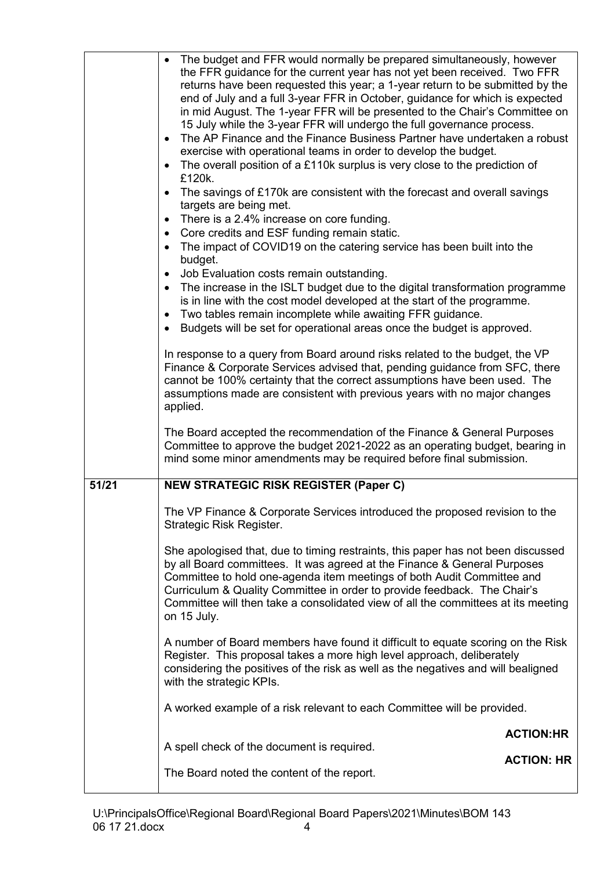|       | The budget and FFR would normally be prepared simultaneously, however<br>$\bullet$<br>the FFR guidance for the current year has not yet been received. Two FFR<br>returns have been requested this year; a 1-year return to be submitted by the<br>end of July and a full 3-year FFR in October, guidance for which is expected<br>in mid August. The 1-year FFR will be presented to the Chair's Committee on<br>15 July while the 3-year FFR will undergo the full governance process.<br>The AP Finance and the Finance Business Partner have undertaken a robust<br>$\bullet$<br>exercise with operational teams in order to develop the budget.<br>The overall position of a £110k surplus is very close to the prediction of<br>$\bullet$<br>£120k.<br>The savings of £170k are consistent with the forecast and overall savings<br>$\bullet$<br>targets are being met.<br>There is a 2.4% increase on core funding.<br>$\bullet$<br>Core credits and ESF funding remain static.<br>$\bullet$<br>The impact of COVID19 on the catering service has been built into the<br>$\bullet$<br>budget.<br>Job Evaluation costs remain outstanding.<br>$\bullet$<br>The increase in the ISLT budget due to the digital transformation programme<br>$\bullet$<br>is in line with the cost model developed at the start of the programme.<br>Two tables remain incomplete while awaiting FFR guidance.<br>$\bullet$<br>Budgets will be set for operational areas once the budget is approved.<br>$\bullet$<br>In response to a query from Board around risks related to the budget, the VP<br>Finance & Corporate Services advised that, pending guidance from SFC, there<br>cannot be 100% certainty that the correct assumptions have been used. The<br>assumptions made are consistent with previous years with no major changes<br>applied.<br>The Board accepted the recommendation of the Finance & General Purposes |                   |
|-------|-----------------------------------------------------------------------------------------------------------------------------------------------------------------------------------------------------------------------------------------------------------------------------------------------------------------------------------------------------------------------------------------------------------------------------------------------------------------------------------------------------------------------------------------------------------------------------------------------------------------------------------------------------------------------------------------------------------------------------------------------------------------------------------------------------------------------------------------------------------------------------------------------------------------------------------------------------------------------------------------------------------------------------------------------------------------------------------------------------------------------------------------------------------------------------------------------------------------------------------------------------------------------------------------------------------------------------------------------------------------------------------------------------------------------------------------------------------------------------------------------------------------------------------------------------------------------------------------------------------------------------------------------------------------------------------------------------------------------------------------------------------------------------------------------------------------------------------------------------------------------------------------------------------------------|-------------------|
|       | Committee to approve the budget 2021-2022 as an operating budget, bearing in<br>mind some minor amendments may be required before final submission.                                                                                                                                                                                                                                                                                                                                                                                                                                                                                                                                                                                                                                                                                                                                                                                                                                                                                                                                                                                                                                                                                                                                                                                                                                                                                                                                                                                                                                                                                                                                                                                                                                                                                                                                                                   |                   |
| 51/21 | <b>NEW STRATEGIC RISK REGISTER (Paper C)</b>                                                                                                                                                                                                                                                                                                                                                                                                                                                                                                                                                                                                                                                                                                                                                                                                                                                                                                                                                                                                                                                                                                                                                                                                                                                                                                                                                                                                                                                                                                                                                                                                                                                                                                                                                                                                                                                                          |                   |
|       | The VP Finance & Corporate Services introduced the proposed revision to the<br>Strategic Risk Register.                                                                                                                                                                                                                                                                                                                                                                                                                                                                                                                                                                                                                                                                                                                                                                                                                                                                                                                                                                                                                                                                                                                                                                                                                                                                                                                                                                                                                                                                                                                                                                                                                                                                                                                                                                                                               |                   |
|       | She apologised that, due to timing restraints, this paper has not been discussed<br>by all Board committees. It was agreed at the Finance & General Purposes<br>Committee to hold one-agenda item meetings of both Audit Committee and<br>Curriculum & Quality Committee in order to provide feedback. The Chair's<br>Committee will then take a consolidated view of all the committees at its meeting<br>on 15 July.                                                                                                                                                                                                                                                                                                                                                                                                                                                                                                                                                                                                                                                                                                                                                                                                                                                                                                                                                                                                                                                                                                                                                                                                                                                                                                                                                                                                                                                                                                |                   |
|       | A number of Board members have found it difficult to equate scoring on the Risk<br>Register. This proposal takes a more high level approach, deliberately<br>considering the positives of the risk as well as the negatives and will bealigned<br>with the strategic KPIs.                                                                                                                                                                                                                                                                                                                                                                                                                                                                                                                                                                                                                                                                                                                                                                                                                                                                                                                                                                                                                                                                                                                                                                                                                                                                                                                                                                                                                                                                                                                                                                                                                                            |                   |
|       | A worked example of a risk relevant to each Committee will be provided.                                                                                                                                                                                                                                                                                                                                                                                                                                                                                                                                                                                                                                                                                                                                                                                                                                                                                                                                                                                                                                                                                                                                                                                                                                                                                                                                                                                                                                                                                                                                                                                                                                                                                                                                                                                                                                               |                   |
|       |                                                                                                                                                                                                                                                                                                                                                                                                                                                                                                                                                                                                                                                                                                                                                                                                                                                                                                                                                                                                                                                                                                                                                                                                                                                                                                                                                                                                                                                                                                                                                                                                                                                                                                                                                                                                                                                                                                                       | <b>ACTION:HR</b>  |
|       | A spell check of the document is required.                                                                                                                                                                                                                                                                                                                                                                                                                                                                                                                                                                                                                                                                                                                                                                                                                                                                                                                                                                                                                                                                                                                                                                                                                                                                                                                                                                                                                                                                                                                                                                                                                                                                                                                                                                                                                                                                            | <b>ACTION: HR</b> |
|       | The Board noted the content of the report.                                                                                                                                                                                                                                                                                                                                                                                                                                                                                                                                                                                                                                                                                                                                                                                                                                                                                                                                                                                                                                                                                                                                                                                                                                                                                                                                                                                                                                                                                                                                                                                                                                                                                                                                                                                                                                                                            |                   |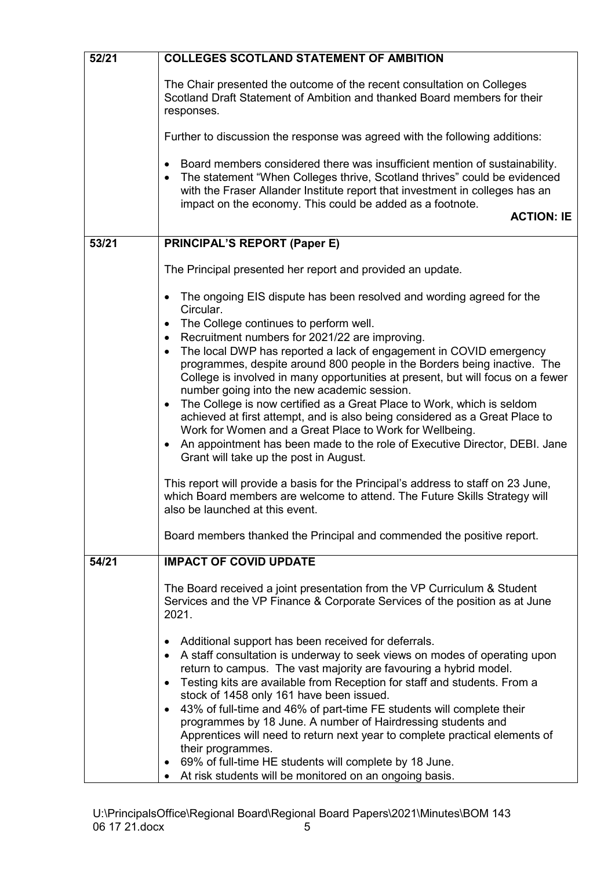| 52/21 | <b>COLLEGES SCOTLAND STATEMENT OF AMBITION</b>                                                                                                                                                                                                                                                                                                                                                                                                                                                                                                                                                                                                                                                                                                                                                                                                                                                                                                                                                                                                                                                                                                                                                               |
|-------|--------------------------------------------------------------------------------------------------------------------------------------------------------------------------------------------------------------------------------------------------------------------------------------------------------------------------------------------------------------------------------------------------------------------------------------------------------------------------------------------------------------------------------------------------------------------------------------------------------------------------------------------------------------------------------------------------------------------------------------------------------------------------------------------------------------------------------------------------------------------------------------------------------------------------------------------------------------------------------------------------------------------------------------------------------------------------------------------------------------------------------------------------------------------------------------------------------------|
|       | The Chair presented the outcome of the recent consultation on Colleges<br>Scotland Draft Statement of Ambition and thanked Board members for their<br>responses.                                                                                                                                                                                                                                                                                                                                                                                                                                                                                                                                                                                                                                                                                                                                                                                                                                                                                                                                                                                                                                             |
|       | Further to discussion the response was agreed with the following additions:                                                                                                                                                                                                                                                                                                                                                                                                                                                                                                                                                                                                                                                                                                                                                                                                                                                                                                                                                                                                                                                                                                                                  |
|       | Board members considered there was insufficient mention of sustainability.<br>$\bullet$<br>The statement "When Colleges thrive, Scotland thrives" could be evidenced<br>$\bullet$<br>with the Fraser Allander Institute report that investment in colleges has an<br>impact on the economy. This could be added as a footnote.<br><b>ACTION: IE</b>                                                                                                                                                                                                                                                                                                                                                                                                                                                                                                                                                                                                                                                                                                                                                                                                                                                          |
| 53/21 | <b>PRINCIPAL'S REPORT (Paper E)</b>                                                                                                                                                                                                                                                                                                                                                                                                                                                                                                                                                                                                                                                                                                                                                                                                                                                                                                                                                                                                                                                                                                                                                                          |
|       | The Principal presented her report and provided an update.                                                                                                                                                                                                                                                                                                                                                                                                                                                                                                                                                                                                                                                                                                                                                                                                                                                                                                                                                                                                                                                                                                                                                   |
| 54/21 | The ongoing EIS dispute has been resolved and wording agreed for the<br>$\bullet$<br>Circular.<br>The College continues to perform well.<br>$\bullet$<br>Recruitment numbers for 2021/22 are improving.<br>$\bullet$<br>The local DWP has reported a lack of engagement in COVID emergency<br>$\bullet$<br>programmes, despite around 800 people in the Borders being inactive. The<br>College is involved in many opportunities at present, but will focus on a fewer<br>number going into the new academic session.<br>The College is now certified as a Great Place to Work, which is seldom<br>$\bullet$<br>achieved at first attempt, and is also being considered as a Great Place to<br>Work for Women and a Great Place to Work for Wellbeing.<br>An appointment has been made to the role of Executive Director, DEBI. Jane<br>$\bullet$<br>Grant will take up the post in August.<br>This report will provide a basis for the Principal's address to staff on 23 June,<br>which Board members are welcome to attend. The Future Skills Strategy will<br>also be launched at this event.<br>Board members thanked the Principal and commended the positive report.<br><b>IMPACT OF COVID UPDATE</b> |
|       | The Board received a joint presentation from the VP Curriculum & Student<br>Services and the VP Finance & Corporate Services of the position as at June<br>2021.<br>Additional support has been received for deferrals.<br>A staff consultation is underway to seek views on modes of operating upon<br>return to campus. The vast majority are favouring a hybrid model.<br>Testing kits are available from Reception for staff and students. From a<br>$\bullet$<br>stock of 1458 only 161 have been issued.<br>43% of full-time and 46% of part-time FE students will complete their<br>$\bullet$<br>programmes by 18 June. A number of Hairdressing students and<br>Apprentices will need to return next year to complete practical elements of<br>their programmes.<br>69% of full-time HE students will complete by 18 June.<br>At risk students will be monitored on an ongoing basis.                                                                                                                                                                                                                                                                                                                |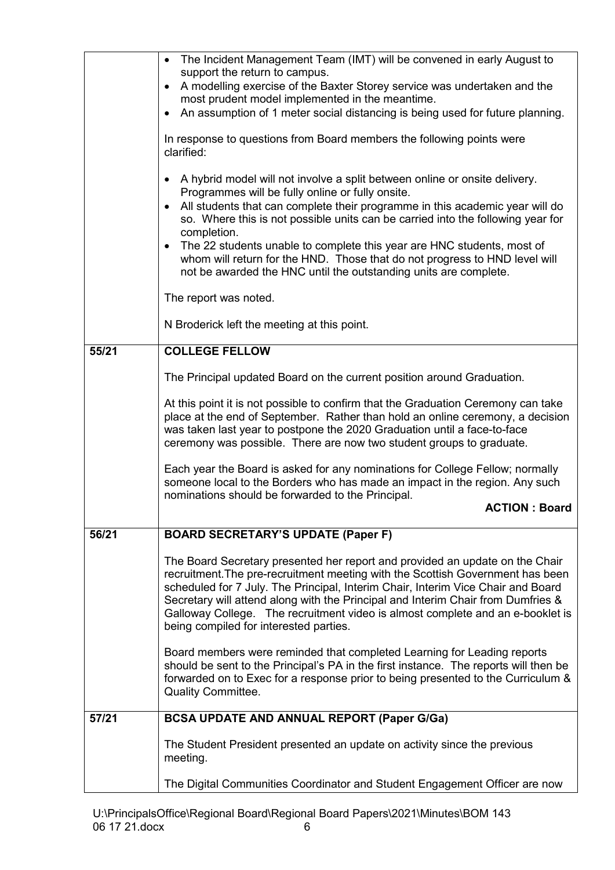|       | The Incident Management Team (IMT) will be convened in early August to<br>$\bullet$<br>support the return to campus.<br>A modelling exercise of the Baxter Storey service was undertaken and the<br>$\bullet$<br>most prudent model implemented in the meantime.<br>An assumption of 1 meter social distancing is being used for future planning.<br>$\bullet$                                                                                                                                                                                                              |
|-------|-----------------------------------------------------------------------------------------------------------------------------------------------------------------------------------------------------------------------------------------------------------------------------------------------------------------------------------------------------------------------------------------------------------------------------------------------------------------------------------------------------------------------------------------------------------------------------|
|       | In response to questions from Board members the following points were<br>clarified:                                                                                                                                                                                                                                                                                                                                                                                                                                                                                         |
|       | A hybrid model will not involve a split between online or onsite delivery.<br>٠<br>Programmes will be fully online or fully onsite.<br>All students that can complete their programme in this academic year will do<br>$\bullet$<br>so. Where this is not possible units can be carried into the following year for<br>completion.<br>The 22 students unable to complete this year are HNC students, most of<br>$\bullet$<br>whom will return for the HND. Those that do not progress to HND level will<br>not be awarded the HNC until the outstanding units are complete. |
|       | The report was noted.                                                                                                                                                                                                                                                                                                                                                                                                                                                                                                                                                       |
|       | N Broderick left the meeting at this point.                                                                                                                                                                                                                                                                                                                                                                                                                                                                                                                                 |
| 55/21 | <b>COLLEGE FELLOW</b>                                                                                                                                                                                                                                                                                                                                                                                                                                                                                                                                                       |
|       | The Principal updated Board on the current position around Graduation.                                                                                                                                                                                                                                                                                                                                                                                                                                                                                                      |
|       | At this point it is not possible to confirm that the Graduation Ceremony can take<br>place at the end of September. Rather than hold an online ceremony, a decision<br>was taken last year to postpone the 2020 Graduation until a face-to-face<br>ceremony was possible. There are now two student groups to graduate.                                                                                                                                                                                                                                                     |
|       | Each year the Board is asked for any nominations for College Fellow; normally<br>someone local to the Borders who has made an impact in the region. Any such<br>nominations should be forwarded to the Principal.<br><b>ACTION: Board</b>                                                                                                                                                                                                                                                                                                                                   |
| 56/21 | <b>BOARD SECRETARY'S UPDATE (Paper F)</b>                                                                                                                                                                                                                                                                                                                                                                                                                                                                                                                                   |
|       | The Board Secretary presented her report and provided an update on the Chair<br>recruitment. The pre-recruitment meeting with the Scottish Government has been<br>scheduled for 7 July. The Principal, Interim Chair, Interim Vice Chair and Board<br>Secretary will attend along with the Principal and Interim Chair from Dumfries &<br>Galloway College. The recruitment video is almost complete and an e-booklet is<br>being compiled for interested parties.                                                                                                          |
|       | Board members were reminded that completed Learning for Leading reports<br>should be sent to the Principal's PA in the first instance. The reports will then be<br>forwarded on to Exec for a response prior to being presented to the Curriculum &<br><b>Quality Committee.</b>                                                                                                                                                                                                                                                                                            |
| 57/21 | <b>BCSA UPDATE AND ANNUAL REPORT (Paper G/Ga)</b>                                                                                                                                                                                                                                                                                                                                                                                                                                                                                                                           |
|       | The Student President presented an update on activity since the previous<br>meeting.                                                                                                                                                                                                                                                                                                                                                                                                                                                                                        |
|       | The Digital Communities Coordinator and Student Engagement Officer are now                                                                                                                                                                                                                                                                                                                                                                                                                                                                                                  |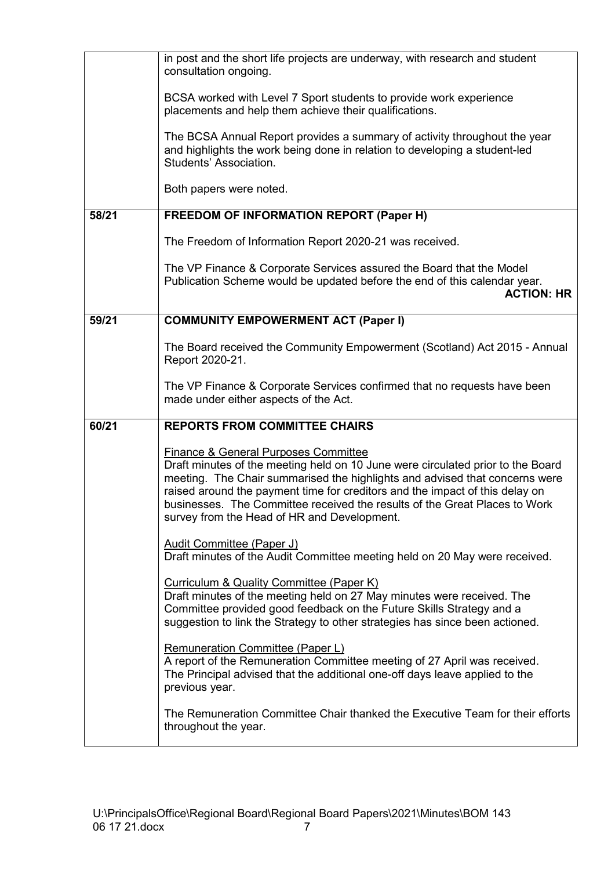|       | in post and the short life projects are underway, with research and student<br>consultation ongoing.                                                                                                                                                                                                                                                                                                                           |
|-------|--------------------------------------------------------------------------------------------------------------------------------------------------------------------------------------------------------------------------------------------------------------------------------------------------------------------------------------------------------------------------------------------------------------------------------|
|       | BCSA worked with Level 7 Sport students to provide work experience<br>placements and help them achieve their qualifications.                                                                                                                                                                                                                                                                                                   |
|       | The BCSA Annual Report provides a summary of activity throughout the year<br>and highlights the work being done in relation to developing a student-led<br>Students' Association.                                                                                                                                                                                                                                              |
|       | Both papers were noted.                                                                                                                                                                                                                                                                                                                                                                                                        |
| 58/21 | <b>FREEDOM OF INFORMATION REPORT (Paper H)</b>                                                                                                                                                                                                                                                                                                                                                                                 |
|       | The Freedom of Information Report 2020-21 was received.                                                                                                                                                                                                                                                                                                                                                                        |
|       | The VP Finance & Corporate Services assured the Board that the Model<br>Publication Scheme would be updated before the end of this calendar year.<br><b>ACTION: HR</b>                                                                                                                                                                                                                                                         |
| 59/21 | <b>COMMUNITY EMPOWERMENT ACT (Paper I)</b>                                                                                                                                                                                                                                                                                                                                                                                     |
|       | The Board received the Community Empowerment (Scotland) Act 2015 - Annual<br>Report 2020-21.                                                                                                                                                                                                                                                                                                                                   |
|       | The VP Finance & Corporate Services confirmed that no requests have been<br>made under either aspects of the Act.                                                                                                                                                                                                                                                                                                              |
| 60/21 | <b>REPORTS FROM COMMITTEE CHAIRS</b>                                                                                                                                                                                                                                                                                                                                                                                           |
|       | <b>Finance &amp; General Purposes Committee</b><br>Draft minutes of the meeting held on 10 June were circulated prior to the Board<br>meeting. The Chair summarised the highlights and advised that concerns were<br>raised around the payment time for creditors and the impact of this delay on<br>businesses. The Committee received the results of the Great Places to Work<br>survey from the Head of HR and Development. |
|       | <b>Audit Committee (Paper J)</b><br>Draft minutes of the Audit Committee meeting held on 20 May were received.                                                                                                                                                                                                                                                                                                                 |
|       | Curriculum & Quality Committee (Paper K)<br>Draft minutes of the meeting held on 27 May minutes were received. The<br>Committee provided good feedback on the Future Skills Strategy and a<br>suggestion to link the Strategy to other strategies has since been actioned.                                                                                                                                                     |
|       | <b>Remuneration Committee (Paper L)</b><br>A report of the Remuneration Committee meeting of 27 April was received.<br>The Principal advised that the additional one-off days leave applied to the<br>previous year.                                                                                                                                                                                                           |
|       | The Remuneration Committee Chair thanked the Executive Team for their efforts<br>throughout the year.                                                                                                                                                                                                                                                                                                                          |